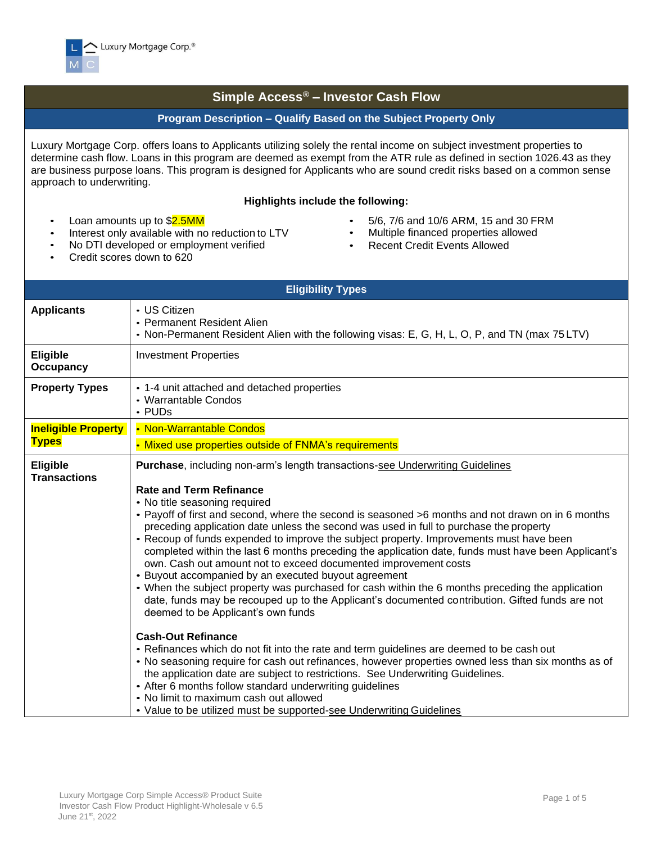

## **Simple Access® – Investor Cash Flow**

## **Program Description – Qualify Based on the Subject Property Only**

Luxury Mortgage Corp. offers loans to Applicants utilizing solely the rental income on subject investment properties to determine cash flow. Loans in this program are deemed as exempt from the ATR rule as defined in section 1026.43 as they are business purpose loans. This program is designed for Applicants who are sound credit risks based on a common sense approach to underwriting.

## **Highlights include the following:**

- Loan amounts up to \$2.5MM
- Interest only available with no reduction to LTV
- No DTI developed or employment verified
- 5/6, 7/6 and 10/6 ARM, 15 and 30 FRM
- Multiple financed properties allowed
- **Recent Credit Events Allowed**

• Credit scores down to 620

|                                        | <b>Eligibility Types</b>                                                                                                                                                                                                                                                                                                                                                                                                                                                                                                                                                                                                                                                                                                                                                                                                                                                                                                                                      |
|----------------------------------------|---------------------------------------------------------------------------------------------------------------------------------------------------------------------------------------------------------------------------------------------------------------------------------------------------------------------------------------------------------------------------------------------------------------------------------------------------------------------------------------------------------------------------------------------------------------------------------------------------------------------------------------------------------------------------------------------------------------------------------------------------------------------------------------------------------------------------------------------------------------------------------------------------------------------------------------------------------------|
| <b>Applicants</b>                      | • US Citizen<br>• Permanent Resident Alien<br>• Non-Permanent Resident Alien with the following visas: E, G, H, L, O, P, and TN (max 75 LTV)                                                                                                                                                                                                                                                                                                                                                                                                                                                                                                                                                                                                                                                                                                                                                                                                                  |
| <b>Eligible</b><br><b>Occupancy</b>    | <b>Investment Properties</b>                                                                                                                                                                                                                                                                                                                                                                                                                                                                                                                                                                                                                                                                                                                                                                                                                                                                                                                                  |
| <b>Property Types</b>                  | • 1-4 unit attached and detached properties<br>• Warrantable Condos<br>• PUDs                                                                                                                                                                                                                                                                                                                                                                                                                                                                                                                                                                                                                                                                                                                                                                                                                                                                                 |
| <b>Ineligible Property</b>             | • Non-Warrantable Condos                                                                                                                                                                                                                                                                                                                                                                                                                                                                                                                                                                                                                                                                                                                                                                                                                                                                                                                                      |
| <b>Types</b>                           | • Mixed use properties outside of FNMA's requirements                                                                                                                                                                                                                                                                                                                                                                                                                                                                                                                                                                                                                                                                                                                                                                                                                                                                                                         |
| <b>Eligible</b><br><b>Transactions</b> | <b>Purchase, including non-arm's length transactions-see Underwriting Guidelines</b><br><b>Rate and Term Refinance</b><br>• No title seasoning required<br>• Payoff of first and second, where the second is seasoned >6 months and not drawn on in 6 months<br>preceding application date unless the second was used in full to purchase the property<br>• Recoup of funds expended to improve the subject property. Improvements must have been<br>completed within the last 6 months preceding the application date, funds must have been Applicant's<br>own. Cash out amount not to exceed documented improvement costs<br>• Buyout accompanied by an executed buyout agreement<br>• When the subject property was purchased for cash within the 6 months preceding the application<br>date, funds may be recouped up to the Applicant's documented contribution. Gifted funds are not<br>deemed to be Applicant's own funds<br><b>Cash-Out Refinance</b> |
|                                        | • Refinances which do not fit into the rate and term guidelines are deemed to be cash out<br>• No seasoning require for cash out refinances, however properties owned less than six months as of<br>the application date are subject to restrictions. See Underwriting Guidelines.<br>• After 6 months follow standard underwriting guidelines<br>• No limit to maximum cash out allowed<br>• Value to be utilized must be supported-see Underwriting Guidelines                                                                                                                                                                                                                                                                                                                                                                                                                                                                                              |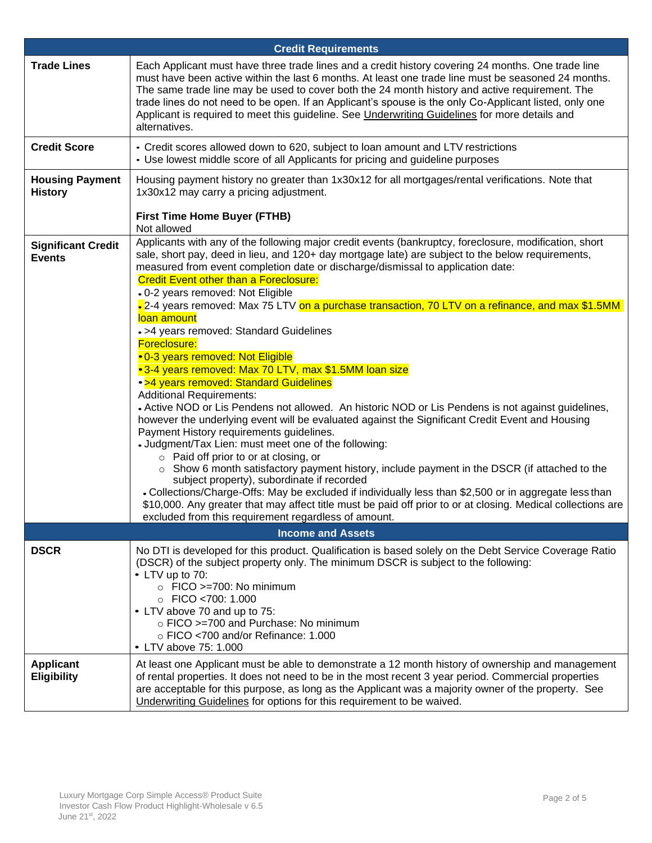| <b>Credit Requirements</b>                 |                                                                                                                                                                                                                                                                                                                                                                                                                                                                                                                                                                                                                                                                                                                                                                                                                                                                                                                                                                                                                                                                                                                                                                                                                                                                                                                                                                                                                                                                                                                                             |  |  |  |  |  |  |  |
|--------------------------------------------|---------------------------------------------------------------------------------------------------------------------------------------------------------------------------------------------------------------------------------------------------------------------------------------------------------------------------------------------------------------------------------------------------------------------------------------------------------------------------------------------------------------------------------------------------------------------------------------------------------------------------------------------------------------------------------------------------------------------------------------------------------------------------------------------------------------------------------------------------------------------------------------------------------------------------------------------------------------------------------------------------------------------------------------------------------------------------------------------------------------------------------------------------------------------------------------------------------------------------------------------------------------------------------------------------------------------------------------------------------------------------------------------------------------------------------------------------------------------------------------------------------------------------------------------|--|--|--|--|--|--|--|
| <b>Trade Lines</b>                         | Each Applicant must have three trade lines and a credit history covering 24 months. One trade line<br>must have been active within the last 6 months. At least one trade line must be seasoned 24 months.<br>The same trade line may be used to cover both the 24 month history and active requirement. The<br>trade lines do not need to be open. If an Applicant's spouse is the only Co-Applicant listed, only one<br>Applicant is required to meet this guideline. See <i>Underwriting Guidelines</i> for more details and<br>alternatives.                                                                                                                                                                                                                                                                                                                                                                                                                                                                                                                                                                                                                                                                                                                                                                                                                                                                                                                                                                                             |  |  |  |  |  |  |  |
| <b>Credit Score</b>                        | • Credit scores allowed down to 620, subject to loan amount and LTV restrictions<br>• Use lowest middle score of all Applicants for pricing and guideline purposes                                                                                                                                                                                                                                                                                                                                                                                                                                                                                                                                                                                                                                                                                                                                                                                                                                                                                                                                                                                                                                                                                                                                                                                                                                                                                                                                                                          |  |  |  |  |  |  |  |
| <b>Housing Payment</b><br><b>History</b>   | Housing payment history no greater than 1x30x12 for all mortgages/rental verifications. Note that<br>1x30x12 may carry a pricing adjustment.                                                                                                                                                                                                                                                                                                                                                                                                                                                                                                                                                                                                                                                                                                                                                                                                                                                                                                                                                                                                                                                                                                                                                                                                                                                                                                                                                                                                |  |  |  |  |  |  |  |
|                                            | <b>First Time Home Buyer (FTHB)</b><br>Not allowed                                                                                                                                                                                                                                                                                                                                                                                                                                                                                                                                                                                                                                                                                                                                                                                                                                                                                                                                                                                                                                                                                                                                                                                                                                                                                                                                                                                                                                                                                          |  |  |  |  |  |  |  |
| <b>Significant Credit</b><br><b>Events</b> | Applicants with any of the following major credit events (bankruptcy, foreclosure, modification, short<br>sale, short pay, deed in lieu, and 120+ day mortgage late) are subject to the below requirements,<br>measured from event completion date or discharge/dismissal to application date:<br><b>Credit Event other than a Foreclosure:</b><br>- 0-2 years removed: Not Eligible<br>- 2-4 years removed: Max 75 LTV on a purchase transaction, 70 LTV on a refinance, and max \$1.5MM<br>loan amount<br>• >4 years removed: Standard Guidelines<br>Foreclosure:<br>• 0-3 years removed: Not Eligible<br>•3-4 years removed: Max 70 LTV, max \$1.5MM loan size<br>• >4 years removed: Standard Guidelines<br><b>Additional Requirements:</b><br>- Active NOD or Lis Pendens not allowed. An historic NOD or Lis Pendens is not against guidelines,<br>however the underlying event will be evaluated against the Significant Credit Event and Housing<br>Payment History requirements guidelines.<br>- Judgment/Tax Lien: must meet one of the following:<br>o Paid off prior to or at closing, or<br>$\circ$ Show 6 month satisfactory payment history, include payment in the DSCR (if attached to the<br>subject property), subordinate if recorded<br>• Collections/Charge-Offs: May be excluded if individually less than \$2,500 or in aggregate less than<br>\$10,000. Any greater that may affect title must be paid off prior to or at closing. Medical collections are<br>excluded from this requirement regardless of amount. |  |  |  |  |  |  |  |
|                                            | <b>Income and Assets</b>                                                                                                                                                                                                                                                                                                                                                                                                                                                                                                                                                                                                                                                                                                                                                                                                                                                                                                                                                                                                                                                                                                                                                                                                                                                                                                                                                                                                                                                                                                                    |  |  |  |  |  |  |  |
| <b>DSCR</b>                                | No DTI is developed for this product. Qualification is based solely on the Debt Service Coverage Ratio<br>(DSCR) of the subject property only. The minimum DSCR is subject to the following:<br>• LTV up to 70:<br>$\circ$ FICO >=700: No minimum<br>$\circ$ FICO <700: 1.000<br>• LTV above 70 and up to 75:<br>o FICO >=700 and Purchase: No minimum<br>$\circ$ FICO <700 and/or Refinance: 1.000<br>• LTV above 75: 1.000                                                                                                                                                                                                                                                                                                                                                                                                                                                                                                                                                                                                                                                                                                                                                                                                                                                                                                                                                                                                                                                                                                                |  |  |  |  |  |  |  |
| <b>Applicant</b><br><b>Eligibility</b>     | At least one Applicant must be able to demonstrate a 12 month history of ownership and management<br>of rental properties. It does not need to be in the most recent 3 year period. Commercial properties<br>are acceptable for this purpose, as long as the Applicant was a majority owner of the property. See<br>Underwriting Guidelines for options for this requirement to be waived.                                                                                                                                                                                                                                                                                                                                                                                                                                                                                                                                                                                                                                                                                                                                                                                                                                                                                                                                                                                                                                                                                                                                                  |  |  |  |  |  |  |  |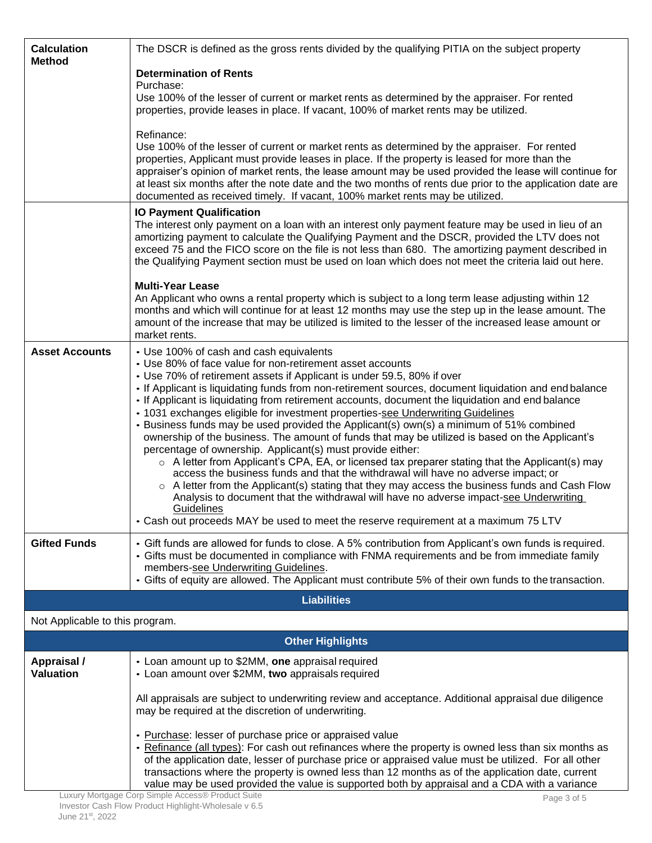| <b>Calculation</b><br><b>Method</b>    | The DSCR is defined as the gross rents divided by the qualifying PITIA on the subject property                                                                                                                                                                                                                                                                                                                                                                                                                                                                                                                                                                                                                                                                                                                                                                                                                                                                         |
|----------------------------------------|------------------------------------------------------------------------------------------------------------------------------------------------------------------------------------------------------------------------------------------------------------------------------------------------------------------------------------------------------------------------------------------------------------------------------------------------------------------------------------------------------------------------------------------------------------------------------------------------------------------------------------------------------------------------------------------------------------------------------------------------------------------------------------------------------------------------------------------------------------------------------------------------------------------------------------------------------------------------|
|                                        | <b>Determination of Rents</b>                                                                                                                                                                                                                                                                                                                                                                                                                                                                                                                                                                                                                                                                                                                                                                                                                                                                                                                                          |
|                                        | Purchase:<br>Use 100% of the lesser of current or market rents as determined by the appraiser. For rented<br>properties, provide leases in place. If vacant, 100% of market rents may be utilized.                                                                                                                                                                                                                                                                                                                                                                                                                                                                                                                                                                                                                                                                                                                                                                     |
|                                        | Refinance:<br>Use 100% of the lesser of current or market rents as determined by the appraiser. For rented<br>properties, Applicant must provide leases in place. If the property is leased for more than the<br>appraiser's opinion of market rents, the lease amount may be used provided the lease will continue for<br>at least six months after the note date and the two months of rents due prior to the application date are<br>documented as received timely. If vacant, 100% market rents may be utilized.                                                                                                                                                                                                                                                                                                                                                                                                                                                   |
|                                        | <b>IO Payment Qualification</b><br>The interest only payment on a loan with an interest only payment feature may be used in lieu of an<br>amortizing payment to calculate the Qualifying Payment and the DSCR, provided the LTV does not<br>exceed 75 and the FICO score on the file is not less than 680. The amortizing payment described in<br>the Qualifying Payment section must be used on loan which does not meet the criteria laid out here.                                                                                                                                                                                                                                                                                                                                                                                                                                                                                                                  |
|                                        | <b>Multi-Year Lease</b><br>An Applicant who owns a rental property which is subject to a long term lease adjusting within 12<br>months and which will continue for at least 12 months may use the step up in the lease amount. The<br>amount of the increase that may be utilized is limited to the lesser of the increased lease amount or<br>market rents.                                                                                                                                                                                                                                                                                                                                                                                                                                                                                                                                                                                                           |
| <b>Asset Accounts</b>                  | • Use 100% of cash and cash equivalents<br>• Use 80% of face value for non-retirement asset accounts<br>• Use 70% of retirement assets if Applicant is under 59.5, 80% if over                                                                                                                                                                                                                                                                                                                                                                                                                                                                                                                                                                                                                                                                                                                                                                                         |
|                                        | . If Applicant is liquidating funds from non-retirement sources, document liquidation and end balance<br>• If Applicant is liquidating from retirement accounts, document the liquidation and end balance<br>• 1031 exchanges eligible for investment properties-see Underwriting Guidelines<br>• Business funds may be used provided the Applicant(s) own(s) a minimum of 51% combined<br>ownership of the business. The amount of funds that may be utilized is based on the Applicant's<br>percentage of ownership. Applicant(s) must provide either:<br>$\circ$ A letter from Applicant's CPA, EA, or licensed tax preparer stating that the Applicant(s) may<br>access the business funds and that the withdrawal will have no adverse impact; or<br>o A letter from the Applicant(s) stating that they may access the business funds and Cash Flow<br>Analysis to document that the withdrawal will have no adverse impact-see Underwriting<br><b>Guidelines</b> |
|                                        | • Cash out proceeds MAY be used to meet the reserve requirement at a maximum 75 LTV                                                                                                                                                                                                                                                                                                                                                                                                                                                                                                                                                                                                                                                                                                                                                                                                                                                                                    |
| <b>Gifted Funds</b>                    | • Gift funds are allowed for funds to close. A 5% contribution from Applicant's own funds is required.<br>• Gifts must be documented in compliance with FNMA requirements and be from immediate family<br>members-see Underwriting Guidelines.<br>• Gifts of equity are allowed. The Applicant must contribute 5% of their own funds to the transaction.                                                                                                                                                                                                                                                                                                                                                                                                                                                                                                                                                                                                               |
|                                        | <b>Liabilities</b>                                                                                                                                                                                                                                                                                                                                                                                                                                                                                                                                                                                                                                                                                                                                                                                                                                                                                                                                                     |
| Not Applicable to this program.        |                                                                                                                                                                                                                                                                                                                                                                                                                                                                                                                                                                                                                                                                                                                                                                                                                                                                                                                                                                        |
|                                        | <b>Other Highlights</b>                                                                                                                                                                                                                                                                                                                                                                                                                                                                                                                                                                                                                                                                                                                                                                                                                                                                                                                                                |
| <b>Appraisal /</b><br><b>Valuation</b> | • Loan amount up to \$2MM, one appraisal required<br>• Loan amount over \$2MM, two appraisals required                                                                                                                                                                                                                                                                                                                                                                                                                                                                                                                                                                                                                                                                                                                                                                                                                                                                 |
|                                        | All appraisals are subject to underwriting review and acceptance. Additional appraisal due diligence<br>may be required at the discretion of underwriting.                                                                                                                                                                                                                                                                                                                                                                                                                                                                                                                                                                                                                                                                                                                                                                                                             |
|                                        | • Purchase: lesser of purchase price or appraised value<br>• Refinance (all types): For cash out refinances where the property is owned less than six months as<br>of the application date, lesser of purchase price or appraised value must be utilized. For all other<br>transactions where the property is owned less than 12 months as of the application date, current<br>value may be used provided the value is supported both by appraisal and a CDA with a variance                                                                                                                                                                                                                                                                                                                                                                                                                                                                                           |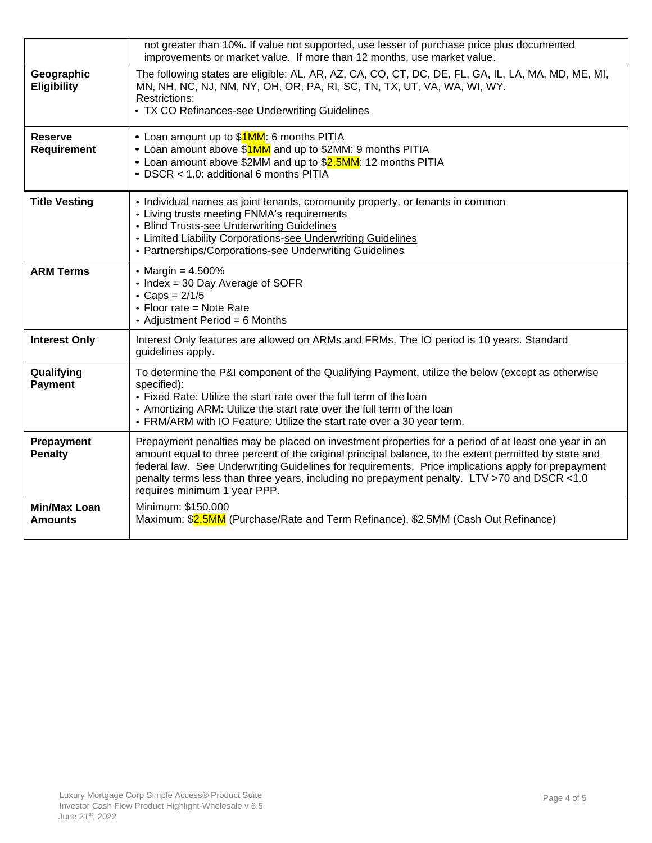|                                  | not greater than 10%. If value not supported, use lesser of purchase price plus documented<br>improvements or market value. If more than 12 months, use market value.                                                                                                                                                                                                                                                                             |
|----------------------------------|---------------------------------------------------------------------------------------------------------------------------------------------------------------------------------------------------------------------------------------------------------------------------------------------------------------------------------------------------------------------------------------------------------------------------------------------------|
| Geographic<br><b>Eligibility</b> | The following states are eligible: AL, AR, AZ, CA, CO, CT, DC, DE, FL, GA, IL, LA, MA, MD, ME, MI,<br>MN, NH, NC, NJ, NM, NY, OH, OR, PA, RI, SC, TN, TX, UT, VA, WA, WI, WY.<br>Restrictions:<br>• TX CO Refinances-see Underwriting Guidelines                                                                                                                                                                                                  |
| <b>Reserve</b><br>Requirement    | • Loan amount up to \$1MM: 6 months PITIA<br>• Loan amount above \$1MM and up to \$2MM: 9 months PITIA<br>• Loan amount above \$2MM and up to \$2.5MM: 12 months PITIA<br>• DSCR < 1.0: additional 6 months PITIA                                                                                                                                                                                                                                 |
| <b>Title Vesting</b>             | • Individual names as joint tenants, community property, or tenants in common<br>• Living trusts meeting FNMA's requirements<br>• Blind Trusts-see Underwriting Guidelines<br>• Limited Liability Corporations-see Underwriting Guidelines<br>• Partnerships/Corporations-see Underwriting Guidelines                                                                                                                                             |
| <b>ARM Terms</b>                 | • Margin = $4.500\%$<br>• Index = 30 Day Average of SOFR<br>• Caps = $2/1/5$<br>• Floor rate = Note Rate<br>• Adjustment Period = 6 Months                                                                                                                                                                                                                                                                                                        |
| <b>Interest Only</b>             | Interest Only features are allowed on ARMs and FRMs. The IO period is 10 years. Standard<br>guidelines apply.                                                                                                                                                                                                                                                                                                                                     |
| Qualifying<br><b>Payment</b>     | To determine the P&I component of the Qualifying Payment, utilize the below (except as otherwise<br>specified):<br>• Fixed Rate: Utilize the start rate over the full term of the loan<br>• Amortizing ARM: Utilize the start rate over the full term of the loan<br>• FRM/ARM with IO Feature: Utilize the start rate over a 30 year term.                                                                                                       |
| Prepayment<br><b>Penalty</b>     | Prepayment penalties may be placed on investment properties for a period of at least one year in an<br>amount equal to three percent of the original principal balance, to the extent permitted by state and<br>federal law. See Underwriting Guidelines for requirements. Price implications apply for prepayment<br>penalty terms less than three years, including no prepayment penalty. LTV >70 and DSCR <1.0<br>requires minimum 1 year PPP. |
| <b>Min/Max Loan</b><br>Amounts   | Minimum: \$150,000<br>Maximum: \$2.5MM (Purchase/Rate and Term Refinance), \$2.5MM (Cash Out Refinance)                                                                                                                                                                                                                                                                                                                                           |